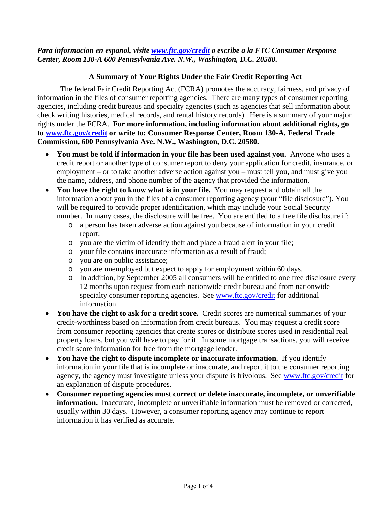### *Para informacion en espanol, visite www.ftc.gov/credit o escribe a la FTC Consumer Response Center, Room 130-A 600 Pennsylvania Ave. N.W., Washington, D.C. 20580.*

# **A Summary of Your Rights Under the Fair Credit Reporting Act**

The federal Fair Credit Reporting Act (FCRA) promotes the accuracy, fairness, and privacy of information in the files of consumer reporting agencies. There are many types of consumer reporting agencies, including credit bureaus and specialty agencies (such as agencies that sell information about check writing histories, medical records, and rental history records). Here is a summary of your major rights under the FCRA. **For more information, including information about additional rights, go to www.ftc.gov/credit or write to: Consumer Response Center, Room 130-A, Federal Trade Commission, 600 Pennsylvania Ave. N.W., Washington, D.C. 20580.**

- **You must be told if information in your file has been used against you.** Anyone who uses a credit report or another type of consumer report to deny your application for credit, insurance, or employment – or to take another adverse action against you – must tell you, and must give you the name, address, and phone number of the agency that provided the information.
- **You have the right to know what is in your file.** You may request and obtain all the information about you in the files of a consumer reporting agency (your "file disclosure"). You will be required to provide proper identification, which may include your Social Security number. In many cases, the disclosure will be free. You are entitled to a free file disclosure if:
	- o a person has taken adverse action against you because of information in your credit report;
	- o you are the victim of identify theft and place a fraud alert in your file;
	- o your file contains inaccurate information as a result of fraud;
	- o you are on public assistance;
	- o you are unemployed but expect to apply for employment within 60 days.
	- o In addition, by September 2005 all consumers will be entitled to one free disclosure every 12 months upon request from each nationwide credit bureau and from nationwide specialty consumer reporting agencies. See www.ftc.gov/credit for additional information.
- **You have the right to ask for a credit score.** Credit scores are numerical summaries of your credit-worthiness based on information from credit bureaus. You may request a credit score from consumer reporting agencies that create scores or distribute scores used in residential real property loans, but you will have to pay for it. In some mortgage transactions, you will receive credit score information for free from the mortgage lender.
- **You have the right to dispute incomplete or inaccurate information.** If you identify information in your file that is incomplete or inaccurate, and report it to the consumer reporting agency, the agency must investigate unless your dispute is frivolous. See www.ftc.gov/credit for an explanation of dispute procedures.
- **Consumer reporting agencies must correct or delete inaccurate, incomplete, or unverifiable information.** Inaccurate, incomplete or unverifiable information must be removed or corrected, usually within 30 days. However, a consumer reporting agency may continue to report information it has verified as accurate.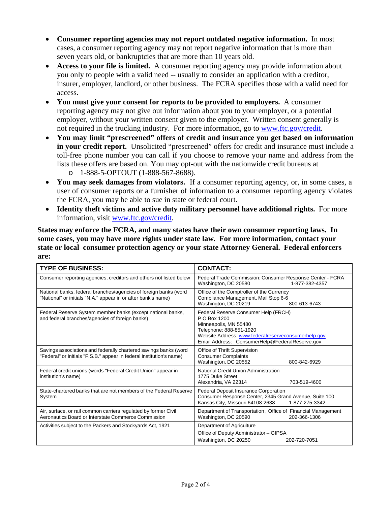- **Consumer reporting agencies may not report outdated negative information.** In most cases, a consumer reporting agency may not report negative information that is more than seven years old, or bankruptcies that are more than 10 years old.
- **Access to your file is limited.** A consumer reporting agency may provide information about you only to people with a valid need -- usually to consider an application with a creditor, insurer, employer, landlord, or other business. The FCRA specifies those with a valid need for access.
- **You must give your consent for reports to be provided to employers.** A consumer reporting agency may not give out information about you to your employer, or a potential employer, without your written consent given to the employer. Written consent generally is not required in the trucking industry. For more information, go to www.ftc.gov/credit.
- **You may limit "prescreened" offers of credit and insurance you get based on information in your credit report.** Unsolicited "prescreened" offers for credit and insurance must include a toll-free phone number you can call if you choose to remove your name and address from the lists these offers are based on. You may opt-out with the nationwide credit bureaus at o 1-888-5-OPTOUT (1-888-567-8688).
- **You may seek damages from violators.** If a consumer reporting agency, or, in some cases, a user of consumer reports or a furnisher of information to a consumer reporting agency violates the FCRA, you may be able to sue in state or federal court.
- **Identity theft victims and active duty military personnel have additional rights.** For more information, visit www.ftc.gov/credit.

**States may enforce the FCRA, and many states have their own consumer reporting laws. In some cases, you may have more rights under state law. For more information, contact your state or local consumer protection agency or your state Attorney General. Federal enforcers are:**

| <b>TYPE OF BUSINESS:</b>                                                                                                                 | <b>CONTACT:</b>                                                                                                                                                                                                   |
|------------------------------------------------------------------------------------------------------------------------------------------|-------------------------------------------------------------------------------------------------------------------------------------------------------------------------------------------------------------------|
| Consumer reporting agencies, creditors and others not listed below                                                                       | Federal Trade Commission: Consumer Response Center - FCRA<br>Washington, DC 20580<br>1-877-382-4357                                                                                                               |
| National banks, federal branches/agencies of foreign banks (word<br>"National" or initials "N.A." appear in or after bank's name)        | Office of the Comptroller of the Currency<br>Compliance Management, Mail Stop 6-6<br>Washington, DC 20219<br>800-613-6743                                                                                         |
| Federal Reserve System member banks (except national banks,<br>and federal branches/agencies of foreign banks)                           | Federal Reserve Consumer Help (FRCH)<br>P O Box 1200<br>Minneapolis, MN 55480<br>Telephone: 888-851-1920<br>Website Address: www.federalreserveconsumerhelp.gov<br>Email Address: ConsumerHelp@FederalReserve.gov |
| Savings associations and federally chartered savings banks (word<br>"Federal" or initials "F.S.B." appear in federal institution's name) | Office of Thrift Supervision<br><b>Consumer Complaints</b><br>Washington, DC 20552<br>800-842-6929                                                                                                                |
| Federal credit unions (words "Federal Credit Union" appear in<br>institution's name)                                                     | National Credit Union Administration<br>1775 Duke Street<br>Alexandria, VA 22314<br>703-519-4600                                                                                                                  |
| State-chartered banks that are not members of the Federal Reserve<br>System                                                              | Federal Deposit Insurance Corporation<br>Consumer Response Center, 2345 Grand Avenue, Suite 100<br>Kansas City, Missouri 64108-2638<br>1-877-275-3342                                                             |
| Air, surface, or rail common carriers regulated by former Civil<br>Aeronautics Board or Interstate Commerce Commission                   | Department of Transportation, Office of Financial Management<br>Washington, DC 20590<br>202-366-1306                                                                                                              |
| Activities subject to the Packers and Stockyards Act, 1921                                                                               | Department of Agriculture<br>Office of Deputy Administrator - GIPSA<br>Washington, DC 20250<br>202-720-7051                                                                                                       |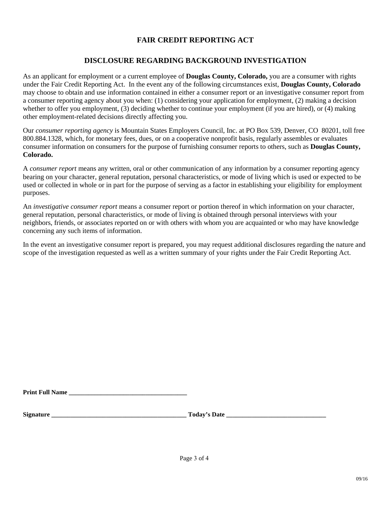# **FAIR CREDIT REPORTING ACT**

## **DISCLOSURE REGARDING BACKGROUND INVESTIGATION**

As an applicant for employment or a current employee of **Douglas County, Colorado,** you are a consumer with rights under the Fair Credit Reporting Act. In the event any of the following circumstances exist, **Douglas County, Colorado**  may choose to obtain and use information contained in either a consumer report or an investigative consumer report from a consumer reporting agency about you when: (1) considering your application for employment, (2) making a decision whether to offer you employment, (3) deciding whether to continue your employment (if you are hired), or (4) making other employment-related decisions directly affecting you.

Our *consumer reporting agency* is Mountain States Employers Council, Inc. at PO Box 539, Denver, CO 80201, toll free 800.884.1328, which, for monetary fees, dues, or on a cooperative nonprofit basis, regularly assembles or evaluates consumer information on consumers for the purpose of furnishing consumer reports to others, such as **Douglas County, Colorado.**

A *consumer report* means any written, oral or other communication of any information by a consumer reporting agency bearing on your character, general reputation, personal characteristics, or mode of living which is used or expected to be used or collected in whole or in part for the purpose of serving as a factor in establishing your eligibility for employment purposes.

An *investigative consumer report* means a consumer report or portion thereof in which information on your character, general reputation, personal characteristics, or mode of living is obtained through personal interviews with your neighbors, friends, or associates reported on or with others with whom you are acquainted or who may have knowledge concerning any such items of information.

In the event an investigative consumer report is prepared, you may request additional disclosures regarding the nature and scope of the investigation requested as well as a written summary of your rights under the Fair Credit Reporting Act.

| <b>Print Full Name</b> |  |
|------------------------|--|
|------------------------|--|

**Signature \_\_\_\_\_\_\_\_\_\_\_\_\_\_\_\_\_\_\_\_\_\_\_\_\_\_\_\_\_\_\_\_\_\_\_\_\_\_\_\_\_\_ Today's Date \_\_\_\_\_\_\_\_\_\_\_\_\_\_\_\_\_\_\_\_\_\_\_\_\_\_\_\_\_\_\_**